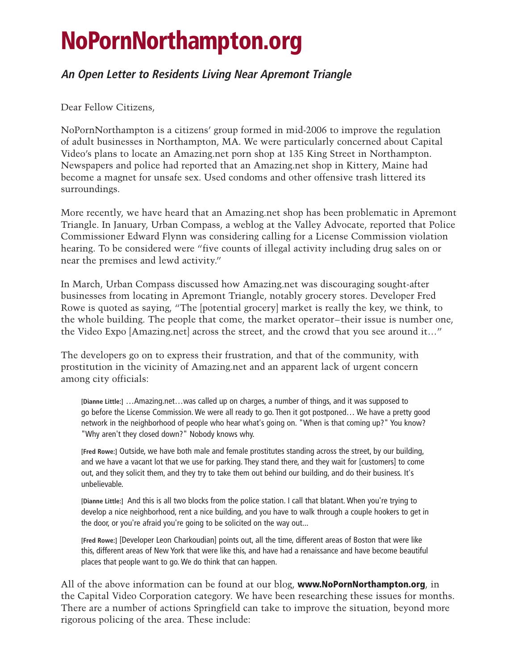## **NoPornNorthampton.org**

## **An Open Letter to Residents Living Near Apremont Triangle**

Dear Fellow Citizens,

NoPornNorthampton is a citizens' group formed in mid-2006 to improve the regulation of adult businesses in Northampton, MA. We were particularly concerned about Capital Video's plans to locate an Amazing.net porn shop at 135 King Street in Northampton. Newspapers and police had reported that an Amazing.net shop in Kittery, Maine had become a magnet for unsafe sex. Used condoms and other offensive trash littered its surroundings.

More recently, we have heard that an Amazing.net shop has been problematic in Apremont Triangle. In January, Urban Compass, a weblog at the Valley Advocate, reported that Police Commissioner Edward Flynn was considering calling for a License Commission violation hearing. To be considered were "five counts of illegal activity including drug sales on or near the premises and lewd activity."

In March, Urban Compass discussed how Amazing.net was discouraging sought-after businesses from locating in Apremont Triangle, notably grocery stores. Developer Fred Rowe is quoted as saying, "The [potential grocery] market is really the key, we think, to the whole building. The people that come, the market operator–their issue is number one, the Video Expo [Amazing.net] across the street, and the crowd that you see around it…"

The developers go on to express their frustration, and that of the community, with prostitution in the vicinity of Amazing.net and an apparent lack of urgent concern among city officials:

**[Dianne Little:]** …Amazing.net…was called up on charges, a number of things, and it was supposed to go before the License Commission. We were all ready to go. Then it got postponed… We have a pretty good network in the neighborhood of people who hear what's going on. "When is that coming up?" You know? "Why aren't they closed down?" Nobody knows why.

**[Fred Rowe:]** Outside, we have both male and female prostitutes standing across the street, by our building, and we have a vacant lot that we use for parking. They stand there, and they wait for [customers] to come out, and they solicit them, and they try to take them out behind our building, and do their business. It's unbelievable.

**[Dianne Little:]** And this is all two blocks from the police station. I call that blatant. When you're trying to develop a nice neighborhood, rent a nice building, and you have to walk through a couple hookers to get in the door, or you're afraid you're going to be solicited on the way out...

**[Fred Rowe:]** [Developer Leon Charkoudian] points out, all the time, different areas of Boston that were like this, different areas of New York that were like this, and have had a renaissance and have become beautiful places that people want to go. We do think that can happen.

All of the above information can be found at our blog, **www.NoPornNorthampton.org**, in the Capital Video Corporation category. We have been researching these issues for months. There are a number of actions Springfield can take to improve the situation, beyond more rigorous policing of the area. These include: